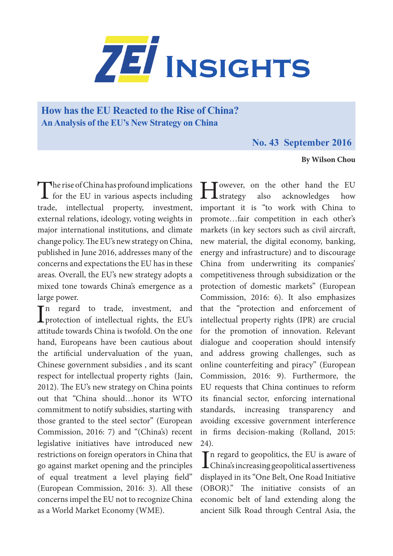

# **How has the EU Reacted to the Rise of China? An Analysis of the EU's New Strategy on China**

## **No. 43 September 2016**

### **By Wilson Chou**

The rise of China has profound implications<br>for the EU in various aspects including trade, intellectual property, investment, external relations, ideology, voting weights in major international institutions, and climate change policy. The EU's new strategy on China, published in June 2016, addresses many of the concerns and expectations the EU has in these areas. Overall, the EU's new strategy adopts a mixed tone towards China's emergence as a large power.

In regard to trade, investment, and<br>protection of intellectual rights, the EU's **L** protection of intellectual rights, the EU's attitude towards China is twofold. On the one hand, Europeans have been cautious about the artificial undervaluation of the yuan, Chinese government subsidies , and its scant respect for intellectual property rights (Jain, 2012). The EU's new strategy on China points out that "China should…honor its WTO commitment to notify subsidies, starting with those granted to the steel sector" (European Commission, 2016: 7) and "(China's) recent legislative initiatives have introduced new restrictions on foreign operators in China that go against market opening and the principles of equal treatment a level playing field" (European Commission, 2016: 3). All these concerns impel the EU not to recognize China as a World Market Economy (WME).

**H**owever, on the other hand the EU<br>strategy also acknowledges how acknowledges important it is "to work with China to promote…fair competition in each other's markets (in key sectors such as civil aircraft, new material, the digital economy, banking, energy and infrastructure) and to discourage China from underwriting its companies' competitiveness through subsidization or the protection of domestic markets" (European Commission, 2016: 6). It also emphasizes that the "protection and enforcement of intellectual property rights (IPR) are crucial for the promotion of innovation. Relevant dialogue and cooperation should intensify and address growing challenges, such as online counterfeiting and piracy" (European Commission, 2016: 9). Furthermore, the EU requests that China continues to reform its financial sector, enforcing international standards, increasing transparency and avoiding excessive government interference in firms decision-making (Rolland, 2015: 24).

In regard to geopolitics, the EU is aware of<br>China's increasing geopolitical assertiveness China's increasing geopolitical assertiveness displayed in its "One Belt, One Road Initiative (OBOR)." The initiative consists of an economic belt of land extending along the ancient Silk Road through Central Asia, the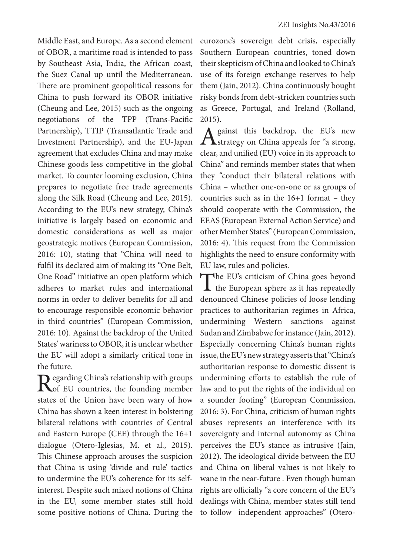Middle East, and Europe. As a second element of OBOR, a maritime road is intended to pass by Southeast Asia, India, the African coast, the Suez Canal up until the Mediterranean. There are prominent geopolitical reasons for China to push forward its OBOR initiative (Cheung and Lee, 2015) such as the ongoing negotiations of the TPP (Trans-Pacific Partnership), TTIP (Transatlantic Trade and Investment Partnership), and the EU-Japan agreement that excludes China and may make Chinese goods less competitive in the global market. To counter looming exclusion, China prepares to negotiate free trade agreements along the Silk Road (Cheung and Lee, 2015). According to the EU's new strategy, China's initiative is largely based on economic and domestic considerations as well as major geostrategic motives (European Commission, 2016: 10), stating that "China will need to fulfil its declared aim of making its "One Belt, One Road" initiative an open platform which adheres to market rules and international norms in order to deliver benefits for all and to encourage responsible economic behavior in third countries" (European Commission, 2016: 10). Against the backdrop of the United States' wariness to OBOR, it is unclear whether the EU will adopt a similarly critical tone in the future.

Regarding China's relationship with groups<br>
of EU countries, the founding member states of the Union have been wary of how China has shown a keen interest in bolstering bilateral relations with countries of Central and Eastern Europe (CEE) through the 16+1 dialogue (Otero-Iglesias, M. et al., 2015). This Chinese approach arouses the suspicion that China is using 'divide and rule' tactics to undermine the EU's coherence for its selfinterest. Despite such mixed notions of China in the EU, some member states still hold some positive notions of China. During the eurozone's sovereign debt crisis, especially Southern European countries, toned down their skepticism of China and looked to China's use of its foreign exchange reserves to help them (Jain, 2012). China continuously bought risky bonds from debt-stricken countries such as Greece, Portugal, and Ireland (Rolland, 2015).

A gainst this backdrop, the EU's new  $\Gamma$  strategy on China appeals for "a strong, clear, and unified (EU) voice in its approach to China" and reminds member states that when they "conduct their bilateral relations with China – whether one-on-one or as groups of countries such as in the 16+1 format – they should cooperate with the Commission, the EEAS (European External Action Service) and other Member States" (European Commission, 2016: 4). This request from the Commission highlights the need to ensure conformity with EU law, rules and policies.

The EU's criticism of China goes beyond<br>the European sphere as it has repeatedly denounced Chinese policies of loose lending practices to authoritarian regimes in Africa, undermining Western sanctions against Sudan and Zimbabwe for instance (Jain, 2012). Especially concerning China's human rights issue, the EU's new strategy asserts that "China's authoritarian response to domestic dissent is undermining efforts to establish the rule of law and to put the rights of the individual on a sounder footing" (European Commission, 2016: 3). For China, criticism of human rights abuses represents an interference with its sovereignty and internal autonomy as China perceives the EU's stance as intrusive (Jain, 2012). The ideological divide between the EU and China on liberal values is not likely to wane in the near-future . Even though human rights are officially "a core concern of the EU's dealings with China, member states still tend to follow independent approaches" (Otero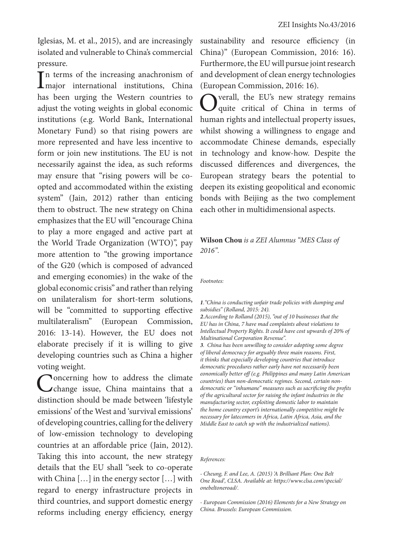Iglesias, M. et al., 2015), and are increasingly isolated and vulnerable to China's commercial pressure.

In terms of the increasing anachronism of<br>
Imajor international institutions, China In terms of the increasing anachronism of has been urging the Western countries to adjust the voting weights in global economic institutions (e.g. World Bank, International Monetary Fund) so that rising powers are more represented and have less incentive to form or join new institutions. The EU is not necessarily against the idea, as such reforms may ensure that "rising powers will be coopted and accommodated within the existing system" (Jain, 2012) rather than enticing them to obstruct. The new strategy on China emphasizes that the EU will "encourage China to play a more engaged and active part at the World Trade Organization (WTO)", pay more attention to "the growing importance of the G20 (which is composed of advanced and emerging economies) in the wake of the global economic crisis" and rather than relying on unilateralism for short-term solutions, will be "committed to supporting effective multilateralism" (European Commission, 2016: 13-14). However, the EU does not elaborate precisely if it is willing to give developing countries such as China a higher voting weight.

**Concerning how to address the climate** change issue, China maintains that a distinction should be made between 'lifestyle emissions' of the West and 'survival emissions' of developing countries, calling for the delivery of low-emission technology to developing countries at an affordable price (Jain, 2012). Taking this into account, the new strategy details that the EU shall "seek to co-operate with China […] in the energy sector […] with regard to energy infrastructure projects in third countries, and support domestic energy reforms including energy efficiency, energy sustainability and resource efficiency (in China)" (European Commission, 2016: 16). Furthermore, the EU will pursue joint research and development of clean energy technologies (European Commission, 2016: 16).

Overall, the EU's new strategy remains quite critical of China in terms of human rights and intellectual property issues, whilst showing a willingness to engage and accommodate Chinese demands, especially in technology and know-how. Despite the discussed differences and divergences, the European strategy bears the potential to deepen its existing geopolitical and economic bonds with Beijing as the two complement each other in multidimensional aspects.

### **Wilson Chou** *is a ZEI Alumnus "MES Class of 2016".*

*Footnotes:*

*1."China is conducting unfair trade policies with dumping and subsidies" (Rolland, 2015: 24).*

*2.According to Rolland (2015), "out of 10 businesses that the EU has in China, 7 have mad complaints about violations to Intellectual Property Rights. It could have cost upwards of 20% of Multinational Corporation Revenue". 3. China has been unwilling to consider adopting some degree* 

*of liberal democracy for arguably three main reasons. First, it thinks that especially developing countries that introduce democratic procedures rather early have not necessarily been eonomically better off (e.g. Philippines and many Latin American countries) than non-democratic regimes. Second, certain nondemocratic or "inhumane" measures such as sacrificing the profits of the agricultural sector for raising the infant industries in the manufacturing sector, exploiting domestic labor to maintain the home country export's internationally competitive might be necessary for latecomers in Africa, Latin Africa, Asia, and the Middle East to catch up with the industrialized nations).*

#### *References:*

*- Cheung, F. and Lee, A. (2015) 'A Brilliant Plan: One Belt One Road', CLSA. Available at: https://www.clsa.com/special/ onebeltoneroad/.*

*- European Commission (2016) Elements for a New Strategy on China. Brussels: European Commission.*